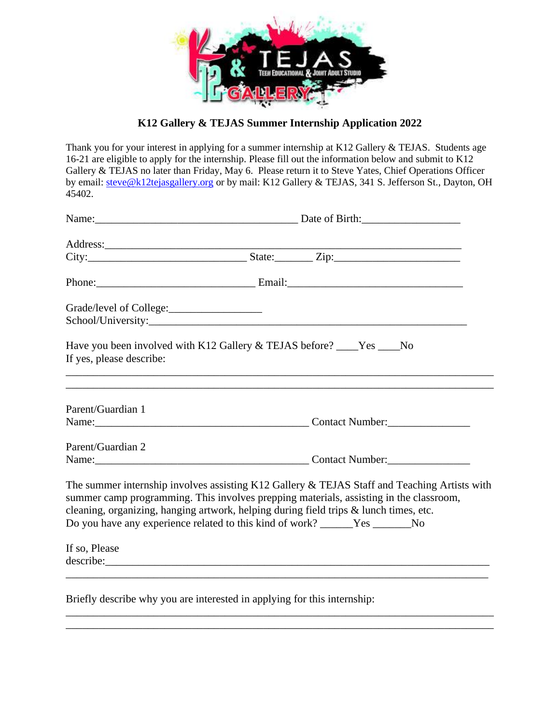

**K12 Gallery & TEJAS Summer Internship Application 2022**

Thank you for your interest in applying for a summer internship at K12 Gallery & TEJAS. Students age 16-21 are eligible to apply for the internship. Please fill out the information below and submit to K12 Gallery & TEJAS no later than Friday, May 6. Please return it to Steve Yates, Chief Operations Officer by email: [steve@k12tejasgallery.org](mailto:steve@k12tejasgallery.org) or by mail: K12 Gallery & TEJAS, 341 S. Jefferson St., Dayton, OH 45402.

|                          |                                                                                                                                                                       | Phone: 2008. [2013] [2014] [2014] [2014] [2014] [2014] [2014] [2014] [2014] [2014] [2014] [2014] [2014] [2014] [2014] [2014] [2014] [2014] [2014] [2014] [2014] [2014] [2014] [2014] [2014] [2014] [2014] [2014] [2014] [2014] |  |  |
|--------------------------|-----------------------------------------------------------------------------------------------------------------------------------------------------------------------|--------------------------------------------------------------------------------------------------------------------------------------------------------------------------------------------------------------------------------|--|--|
|                          |                                                                                                                                                                       |                                                                                                                                                                                                                                |  |  |
|                          |                                                                                                                                                                       |                                                                                                                                                                                                                                |  |  |
| If yes, please describe: | Have you been involved with K12 Gallery & TEJAS before? ____Yes ____No                                                                                                |                                                                                                                                                                                                                                |  |  |
| Parent/Guardian 1        |                                                                                                                                                                       | ,我们也不会有什么。""我们的人,我们也不会有什么?""我们的人,我们也不会有什么?""我们的人,我们也不会有什么?""我们的人,我们也不会有什么?""我们的人                                                                                                                                               |  |  |
|                          |                                                                                                                                                                       | Name: <u>Name:</u> Contact Number:                                                                                                                                                                                             |  |  |
| Parent/Guardian 2        |                                                                                                                                                                       | Name: <u>Name:</u> Contact Number:                                                                                                                                                                                             |  |  |
|                          | cleaning, organizing, hanging artwork, helping during field trips & lunch times, etc.<br>Do you have any experience related to this kind of work? ______Yes _______No | The summer internship involves assisting K12 Gallery & TEJAS Staff and Teaching Artists with<br>summer camp programming. This involves prepping materials, assisting in the classroom,                                         |  |  |
| If so, Please            |                                                                                                                                                                       |                                                                                                                                                                                                                                |  |  |
|                          | Briefly describe why you are interested in applying for this internship:                                                                                              |                                                                                                                                                                                                                                |  |  |

\_\_\_\_\_\_\_\_\_\_\_\_\_\_\_\_\_\_\_\_\_\_\_\_\_\_\_\_\_\_\_\_\_\_\_\_\_\_\_\_\_\_\_\_\_\_\_\_\_\_\_\_\_\_\_\_\_\_\_\_\_\_\_\_\_\_\_\_\_\_\_\_\_\_\_\_\_\_ \_\_\_\_\_\_\_\_\_\_\_\_\_\_\_\_\_\_\_\_\_\_\_\_\_\_\_\_\_\_\_\_\_\_\_\_\_\_\_\_\_\_\_\_\_\_\_\_\_\_\_\_\_\_\_\_\_\_\_\_\_\_\_\_\_\_\_\_\_\_\_\_\_\_\_\_\_\_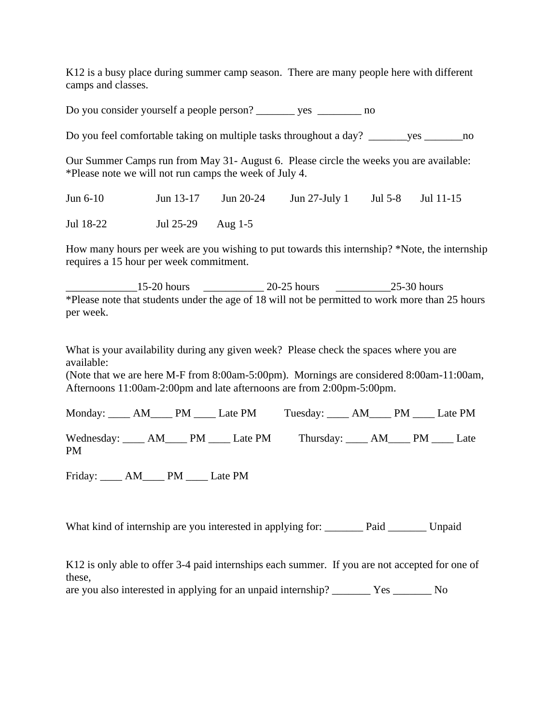K12 is a busy place during summer camp season. There are many people here with different camps and classes.

Do you consider yourself a people person? \_\_\_\_\_\_\_ yes \_\_\_\_\_\_\_\_ no

Do you feel comfortable taking on multiple tasks throughout a day? \_\_\_\_\_\_\_yes \_\_\_\_\_\_\_\_\_\_\_no

Our Summer Camps run from May 31- August 6. Please circle the weeks you are available: \*Please note we will not run camps the week of July 4.

Jun 6-10 Jun 13-17 Jun 20-24 Jun 27-July 1 Jul 5-8 Jul 11-15 Jul 18-22 Jul 25-29 Aug 1-5

How many hours per week are you wishing to put towards this internship? \*Note, the internship requires a 15 hour per week commitment.

 $\_15$ -20 hours  $\_20$ -25 hours  $\_25$ -30 hours \*Please note that students under the age of 18 will not be permitted to work more than 25 hours per week.

What is your availability during any given week? Please check the spaces where you are available:

(Note that we are here M-F from 8:00am-5:00pm). Mornings are considered 8:00am-11:00am, Afternoons 11:00am-2:00pm and late afternoons are from 2:00pm-5:00pm.

|           |  | Monday: _____ AM_____ PM _____ Late PM Tuesday: _____ AM_____ PM _____ Late PM  |  |  |
|-----------|--|---------------------------------------------------------------------------------|--|--|
| <b>PM</b> |  | Wednesday: _____ AM_____ PM _____ Late PM Thursday: _____ AM_____ PM _____ Late |  |  |

Friday: \_\_\_\_ AM\_\_\_\_ PM \_\_\_\_ Late PM

What kind of internship are you interested in applying for: Paid Unpaid

K12 is only able to offer 3-4 paid internships each summer. If you are not accepted for one of these,

are you also interested in applying for an unpaid internship? \_\_\_\_\_\_\_ Yes \_\_\_\_\_\_\_ No